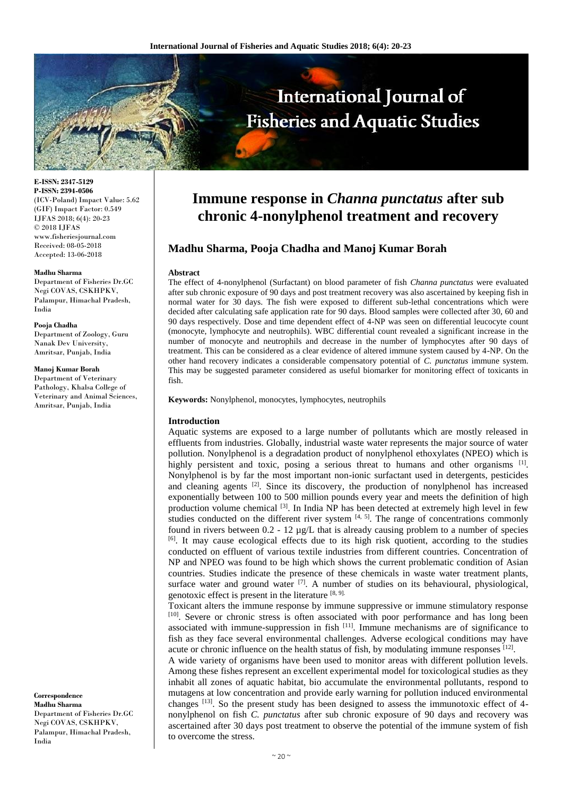

**E-ISSN: 2347-5129 P-ISSN: 2394-0506** (ICV-Poland) Impact Value: 5.62 (GIF) Impact Factor: 0.549 IJFAS 2018; 6(4): 20-23 © 2018 IJFAS www.fisheriesjournal.com Received: 08-05-2018 Accepted: 13-06-2018

#### **Madhu Sharma**

Department of Fisheries Dr.GC Negi COVAS, CSKHPKV, Palampur, Himachal Pradesh, India

#### **Pooja Chadha**

Department of Zoology, Guru Nanak Dev University, Amritsar, Punjab, India

#### **Manoj Kumar Borah**

Department of Veterinary Pathology, Khalsa College of Veterinary and Animal Sciences, Amritsar, Punjab, India

**Correspondence Madhu Sharma** Department of Fisheries Dr.GC Negi COVAS, CSKHPKV, Palampur, Himachal Pradesh, India

# **Immune response in** *Channa punctatus* **after sub chronic 4-nonylphenol treatment and recovery**

# **Madhu Sharma, Pooja Chadha and Manoj Kumar Borah**

#### **Abstract**

The effect of 4-nonylphenol (Surfactant) on blood parameter of fish *Channa punctatus* were evaluated after sub chronic exposure of 90 days and post treatment recovery was also ascertained by keeping fish in normal water for 30 days. The fish were exposed to different sub-lethal concentrations which were decided after calculating safe application rate for 90 days. Blood samples were collected after 30, 60 and 90 days respectively. Dose and time dependent effect of 4-NP was seen on differential leucocyte count (monocyte, lymphocyte and neutrophils). WBC differential count revealed a significant increase in the number of monocyte and neutrophils and decrease in the number of lymphocytes after 90 days of treatment. This can be considered as a clear evidence of altered immune system caused by 4-NP. On the other hand recovery indicates a considerable compensatory potential of *C. punctatus* immune system. This may be suggested parameter considered as useful biomarker for monitoring effect of toxicants in fish.

**Keywords:** Nonylphenol, monocytes, lymphocytes, neutrophils

#### **Introduction**

Aquatic systems are exposed to a large number of pollutants which are mostly released in effluents from industries. Globally, industrial waste water represents the major source of water pollution. Nonylphenol is a degradation product of nonylphenol ethoxylates (NPEO) which is highly persistent and toxic, posing a serious threat to humans and other organisms [1]. Nonylphenol is by far the most important non-ionic surfactant used in detergents, pesticides and cleaning agents <sup>[2]</sup>. Since its discovery, the production of nonylphenol has increased exponentially between 100 to 500 million pounds every year and meets the definition of high production volume chemical  $[3]$ . In India NP has been detected at extremely high level in few studies conducted on the different river system  $[4, 5]$ . The range of concentrations commonly found in rivers between  $0.2 - 12 \mu g/L$  that is already causing problem to a number of species  $\left[6\right]$ . It may cause ecological effects due to its high risk quotient, according to the studies conducted on effluent of various textile industries from different countries. Concentration of NP and NPEO was found to be high which shows the current problematic condition of Asian countries. Studies indicate the presence of these chemicals in waste water treatment plants, surface water and ground water  $[7]$ . A number of studies on its behavioural, physiological, genotoxic effect is present in the literature [8, 9].

Toxicant alters the immune response by immune suppressive or immune stimulatory response [10]. Severe or chronic stress is often associated with poor performance and has long been associated with immune-suppression in fish [11]. Immune mechanisms are of significance to fish as they face several environmental challenges. Adverse ecological conditions may have acute or chronic influence on the health status of fish, by modulating immune responses  $[12]$ .

A wide variety of organisms have been used to monitor areas with different pollution levels. Among these fishes represent an excellent experimental model for toxicological studies as they inhabit all zones of aquatic habitat, bio accumulate the environmental pollutants, respond to mutagens at low concentration and provide early warning for pollution induced environmental changes  $[13]$ . So the present study has been designed to assess the immunotoxic effect of 4nonylphenol on fish *C. punctatus* after sub chronic exposure of 90 days and recovery was ascertained after 30 days post treatment to observe the potential of the immune system of fish to overcome the stress.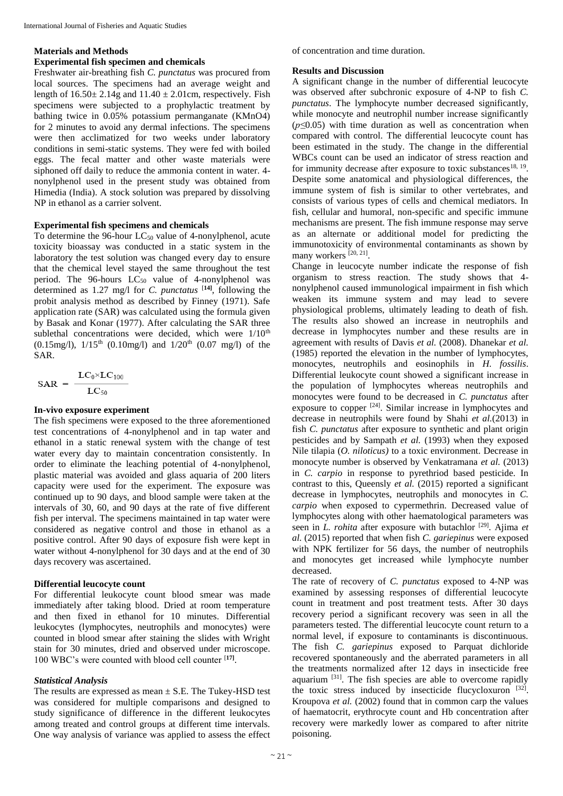# **Materials and Methods**

## **Experimental fish specimen and chemicals**

Freshwater air-breathing fish *C. punctatus* was procured from local sources. The specimens had an average weight and length of  $16.50 \pm 2.14$ g and  $11.40 \pm 2.01$ cm, respectively. Fish specimens were subjected to a prophylactic treatment by bathing twice in 0.05% potassium permanganate (KMnO4) for 2 minutes to avoid any dermal infections. The specimens were then acclimatized for two weeks under laboratory conditions in semi-static systems. They were fed with boiled eggs. The fecal matter and other waste materials were siphoned off daily to reduce the ammonia content in water. 4nonylphenol used in the present study was obtained from Himedia (India). A stock solution was prepared by dissolving NP in ethanol as a carrier solvent.

#### **Experimental fish specimens and chemicals**

To determine the 96-hour  $LC_{50}$  value of 4-nonylphenol, acute toxicity bioassay was conducted in a static system in the laboratory the test solution was changed every day to ensure that the chemical level stayed the same throughout the test period. The 96-hours  $LC_{50}$  value of 4-nonylphenol was determined as 1.27 mg/l for *C. punctatus* [**14]** , following the probit analysis method as described by Finney (1971). Safe application rate (SAR) was calculated using the formula given by Basak and Konar (1977). After calculating the SAR three sublethal concentrations were decided, which were  $1/10^{th}$ (0.15mg/l),  $1/15^{th}$  (0.10mg/l) and  $1/20^{th}$  (0.07 mg/l) of the SAR.

$$
\text{SAR}~=~\frac{\text{LC}_0\times\text{LC}_{100}}{\text{LC}_{50}}
$$

## **In-vivo exposure experiment**

The fish specimens were exposed to the three aforementioned test concentrations of 4-nonylphenol and in tap water and ethanol in a static renewal system with the change of test water every day to maintain concentration consistently. In order to eliminate the leaching potential of 4-nonylphenol, plastic material was avoided and glass aquaria of 200 liters capacity were used for the experiment. The exposure was continued up to 90 days, and blood sample were taken at the intervals of 30, 60, and 90 days at the rate of five different fish per interval. The specimens maintained in tap water were considered as negative control and those in ethanol as a positive control. After 90 days of exposure fish were kept in water without 4-nonylphenol for 30 days and at the end of 30 days recovery was ascertained.

### **Differential leucocyte count**

For differential leukocyte count blood smear was made immediately after taking blood. Dried at room temperature and then fixed in ethanol for 10 minutes. Differential leukocytes (lymphocytes, neutrophils and monocytes) were counted in blood smear after staining the slides with Wright stain for 30 minutes, dried and observed under microscope. 100 WBC's were counted with blood cell counter [**17]** .

## *Statistical Analysis*

The results are expressed as mean  $\pm$  S.E. The Tukey-HSD test was considered for multiple comparisons and designed to study significance of difference in the different leukocytes among treated and control groups at different time intervals. One way analysis of variance was applied to assess the effect of concentration and time duration.

#### **Results and Discussion**

A significant change in the number of differential leucocyte was observed after subchronic exposure of 4-NP to fish *C. punctatus*. The lymphocyte number decreased significantly, while monocyte and neutrophil number increase significantly (*p≤*0.05) with time duration as well as concentration when compared with control. The differential leucocyte count has been estimated in the study. The change in the differential WBCs count can be used an indicator of stress reaction and for immunity decrease after exposure to toxic substances<sup>18, 19</sup>. Despite some anatomical and physiological differences, the immune system of fish is similar to other vertebrates, and consists of various types of cells and chemical mediators. In fish, cellular and humoral, non-specific and specific immune mechanisms are present. The fish immune response may serve as an alternate or additional model for predicting the immunotoxicity of environmental contaminants as shown by many workers [20, 21].

Change in leucocyte number indicate the response of fish organism to stress reaction. The study shows that 4 nonylphenol caused immunological impairment in fish which weaken its immune system and may lead to severe physiological problems, ultimately leading to death of fish. The results also showed an increase in neutrophils and decrease in lymphocytes number and these results are in agreement with results of Davis *et al.* (2008). Dhanekar *et al.* (1985) reported the elevation in the number of lymphocytes, monocytes, neutrophils and eosinophils in *H. fossilis*. Differential leukocyte count showed a significant increase in the population of lymphocytes whereas neutrophils and monocytes were found to be decreased in *C. punctatus* after exposure to copper <sup>[24]</sup>. Similar increase in lymphocytes and decrease in neutrophils were found by Shahi *et al.*(2013) in fish *C. punctatus* after exposure to synthetic and plant origin pesticides and by Sampath *et al.* (1993) when they exposed Nile tilapia (*O. niloticus)* to a toxic environment. Decrease in monocyte number is observed by Venkatramana *et al.* (2013) in *C. carpio* in response to pyrethriod based pesticide. In contrast to this, Queensly *et al.* (2015) reported a significant decrease in lymphocytes, neutrophils and monocytes in *C. carpio* when exposed to cypermethrin. Decreased value of lymphocytes along with other haematological parameters was seen in *L. rohita* after exposure with butachlor <sup>[29]</sup>. Ajima *et al.* (2015) reported that when fish *C. gariepinus* were exposed with NPK fertilizer for 56 days, the number of neutrophils and monocytes get increased while lymphocyte number decreased.

The rate of recovery of *C. punctatus* exposed to 4-NP was examined by assessing responses of differential leucocyte count in treatment and post treatment tests. After 30 days recovery period a significant recovery was seen in all the parameters tested. The differential leucocyte count return to a normal level, if exposure to contaminants is discontinuous. The fish *C. gariepinus* exposed to Parquat dichloride recovered spontaneously and the aberrated parameters in all the treatments normalized after 12 days in insecticide free aquarium <sup>[31]</sup>. The fish species are able to overcome rapidly the toxic stress induced by insecticide flucycloxuron  $[32]$ . Kroupova *et al.* (2002) found that in common carp the values of haematocrit, erythrocyte count and Hb concentration after recovery were markedly lower as compared to after nitrite poisoning.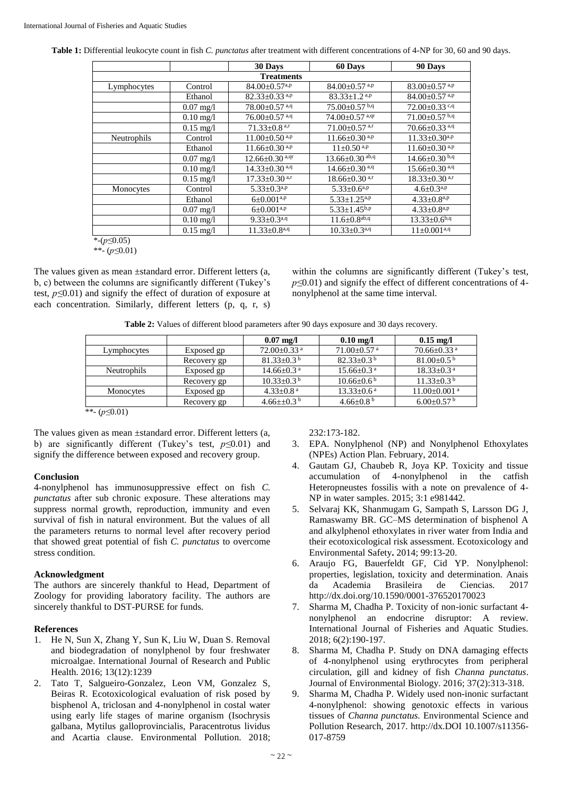| Table 1: Differential leukocyte count in fish C. punctatus after treatment with different concentrations of 4-NP for 30, 60 and 90 days. |  |  |
|------------------------------------------------------------------------------------------------------------------------------------------|--|--|
|                                                                                                                                          |  |  |

|             |                     | 30 Days                          | 60 Days                          | 90 Days                         |
|-------------|---------------------|----------------------------------|----------------------------------|---------------------------------|
|             |                     | <b>Treatments</b>                |                                  |                                 |
| Lymphocytes | Control             | $84.00 \pm 0.57$ <sup>a,p</sup>  | $84.00 \pm 0.57$ <sup>a,p</sup>  | $83.00 \pm 0.57$ <sup>a,p</sup> |
|             | Ethanol             | $82.33 \pm 0.33$ <sup>a,p</sup>  | $83.33 \pm 1.2$ <sup>a,p</sup>   | $84.00 \pm 0.57$ <sup>a,p</sup> |
|             | $0.07$ mg/l         | $78.00 \pm 0.57$ <sup>a,q</sup>  | $75.00 \pm 0.57$ b,q             | $72.00 \pm 0.33$ c,q            |
|             | $0.10 \text{ mg}/1$ | $76.00 \pm 0.57$ <sup>a,q</sup>  | $74.00 \pm 0.57$ <sup>a,qr</sup> | $71.00 \pm 0.57$ b.q            |
|             | $0.15 \text{ mg}/1$ | $71.33 \pm 0.8$ <sup>a,r</sup>   | $71.00 \pm 0.57$ <sup>a,r</sup>  | 70.66±0.33 <sup>a,q</sup>       |
| Neutrophils | Control             | $11.00 \pm 0.50$ <sup>a,p</sup>  | $11.66 \pm 0.30$ <sup>a,p</sup>  | $11.33 \pm 0.30^{a,p}$          |
|             | Ethanol             | $11.66 \pm 0.30$ <sup>a,p</sup>  | $11 \pm 0.50$ <sup>a,p</sup>     | $11.60 \pm 0.30$ <sup>a,p</sup> |
|             | $0.07 \text{ mg}/1$ | $12.66 \pm 0.30$ <sup>a,qr</sup> | $13.66 \pm 0.30$ ab,q            | $14.66 \pm 0.30 \overline{b,q}$ |
|             | $0.10 \text{ mg}/1$ | $14.33 \pm 0.30$ <sup>a,q</sup>  | $14.66 \pm 0.30$ <sup>a,q</sup>  | $15.66 \pm 0.30$ <sup>a,q</sup> |
|             | $0.15 \text{ mg}/1$ | $17.33 \pm 0.30$ <sup>a,r</sup>  | $18.66 \pm 0.30$ <sup>a,r</sup>  | $18.33 \pm 0.30$ a,r            |
| Monocytes   | Control             | $5.33 \pm 0.3^{a,p}$             | $5.33 \pm 0.6^{a,p}$             | $4.6 \pm 0.3^{a,p}$             |
|             | Ethanol             | $6\pm0.001^{a,p}$                | $5.33 \pm 1.25^{a,p}$            | $4.33 \pm 0.8^{a,p}$            |
|             | $0.07$ mg/l         | $6\pm0.001^{a,p}$                | $5.33 \pm 1.45^{b,p}$            | $4.33 \pm 0.8^{a,p}$            |
|             | $0.10 \text{ mg}/1$ | $9.33 \pm 0.3^{a,q}$             | $11.6 \pm 0.8$ <sup>ab,q</sup>   | $13.33 \pm 0.6^{b,q}$           |
|             | $0.15 \text{ mg}/1$ | $11.33 \pm 0.8$ <sup>a,q</sup>   | $10.33 \pm 0.3$ <sup>a,q</sup>   | $11 \pm 0.001^{a,q}$            |

\*-(*p≤*0.05) \*\*- (*p≤*0.01)

The values given as mean ±standard error. Different letters (a, b, c) between the columns are significantly different (Tukey's test, *p≤*0.01) and signify the effect of duration of exposure at each concentration. Similarly, different letters (p, q, r, s)

within the columns are significantly different (Tukey's test, *p*≤0.01) and signify the effect of different concentrations of 4nonylphenol at the same time interval.

**Table 2:** Values of different blood parameters after 90 days exposure and 30 days recovery.

|                    |             | $0.07$ mg/l                   | $0.10$ mg/l                   | $0.15$ mg/l                    |
|--------------------|-------------|-------------------------------|-------------------------------|--------------------------------|
| Lymphocytes        | Exposed gp  | $72.00 \pm 0.33$ <sup>a</sup> | $71.00 \pm 0.57$ <sup>a</sup> | $70.66 \pm 0.33$ <sup>a</sup>  |
|                    | Recovery gp | $81.33+0.3b$                  | $82.33+0.3b$                  | 81.00 $\pm$ 0.5 <sup>b</sup>   |
| Neutrophils        | Exposed gp  | $14.66 \pm 0.3$ <sup>a</sup>  | $15.66 \pm 0.3$ <sup>a</sup>  | $18.33 \pm 0.3$ <sup>a</sup>   |
|                    | Recovery gp | $10.33 \pm 0.3^{\mathrm{b}}$  | $10.66 \pm 0.6^{\mathrm{b}}$  | $11.33 \pm 0.3^{\mathrm{b}}$   |
| Monocytes          | Exposed gp  | $4.33 \pm 0.8$ <sup>a</sup>   | $13.33 \pm 0.6^{\text{a}}$    | $11.00 \pm 0.001$ <sup>a</sup> |
|                    | Recovery gp | 4.66 $\pm$ 0.3 <sup>b</sup>   | 4.66 $\pm$ 0.8 <sup>b</sup>   | $6.00 \pm 0.57$ b              |
| **- $(p \le 0.01)$ |             |                               |                               |                                |

The values given as mean ±standard error. Different letters (a, b) are significantly different (Tukey's test, *p≤*0.01) and signify the difference between exposed and recovery group.

## **Conclusion**

4-nonylphenol has immunosuppressive effect on fish *C. punctatus* after sub chronic exposure. These alterations may suppress normal growth, reproduction, immunity and even survival of fish in natural environment. But the values of all the parameters returns to normal level after recovery period that showed great potential of fish *C. punctatus* to overcome stress condition.

## **Acknowledgment**

The authors are sincerely thankful to Head, Department of Zoology for providing laboratory facility. The authors are sincerely thankful to DST-PURSE for funds.

## **References**

- 1. He N, Sun X, Zhang Y, Sun K, Liu W, Duan S. Removal and biodegradation of nonylphenol by four freshwater microalgae. International Journal of Research and Public Health. 2016; 13(12):1239
- 2. Tato T, Salgueiro-Gonzalez, Leon VM, Gonzalez S, Beiras R. Ecotoxicological evaluation of risk posed by bisphenol A, triclosan and 4-nonylphenol in costal water using early life stages of marine organism (Isochrysis galbana, Mytilus galloprovincialis, Paracentrotus lividus and Acartia clause. Environmental Pollution. 2018;

232:173-182.

- 3. EPA. Nonylphenol (NP) and Nonylphenol Ethoxylates (NPEs) Action Plan. February, 2014.
- 4. Gautam GJ, Chaubeb R, Joya KP. Toxicity and tissue accumulation of 4-nonylphenol in the catfish Heteropneustes fossilis with a note on prevalence of 4- NP in water samples. 2015; 3:1 e981442.
- 5. Selvaraj KK, Shanmugam G, Sampath S, Larsson DG J, Ramaswamy BR. GC–MS determination of bisphenol A and alkylphenol ethoxylates in river water from India and their ecotoxicological risk assessment. Ecotoxicology and Environmental Safety**.** 2014; 99:13-20.
- 6. Araujo FG, Bauerfeldt GF, Cid YP. Nonylphenol: properties, legislation, toxicity and determination. Anais da Academia Brasileira de Ciencias. 2017 http://dx.doi.org/10.1590/0001-376520170023
- 7. Sharma M, Chadha P. Toxicity of non-ionic surfactant 4 nonylphenol an endocrine disruptor: A review. International Journal of Fisheries and Aquatic Studies. 2018; 6(2):190-197.
- 8. Sharma M, Chadha P. Study on DNA damaging effects of 4-nonylphenol using erythrocytes from peripheral circulation, gill and kidney of fish *Channa punctatus*. Journal of Environmental Biology. 2016; 37(2):313-318.
- 9. Sharma M, Chadha P. Widely used non-inonic surfactant 4-nonylphenol: showing genotoxic effects in various tissues of *Channa punctatus.* Environmental Science and Pollution Research, 2017. http://dx.DOI 10.1007/s11356- 017-8759